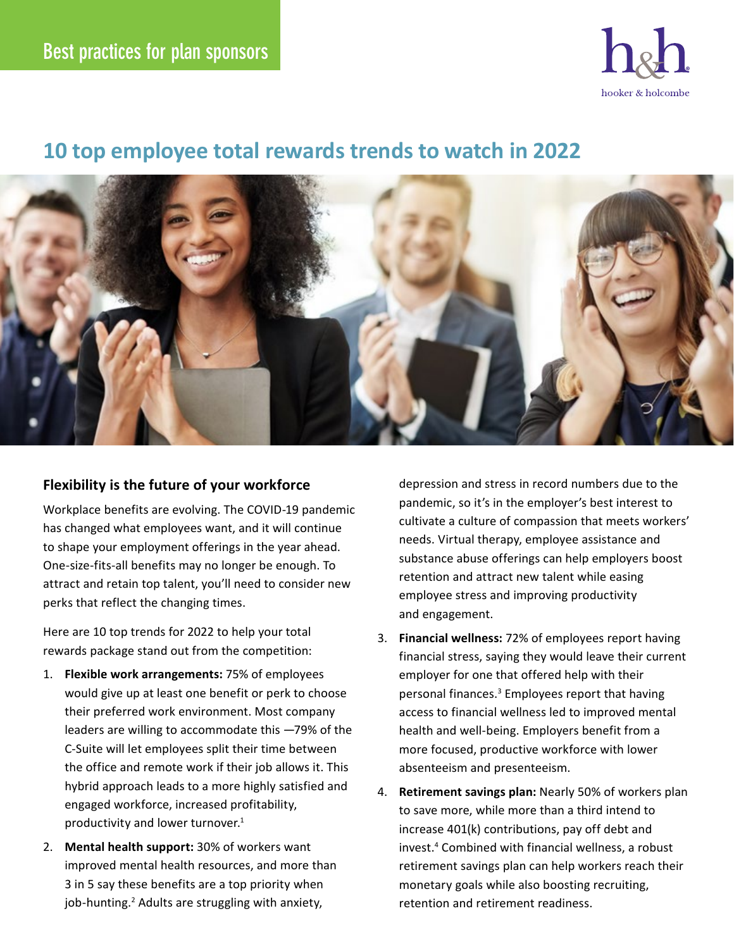

## **10 top employee total rewards trends to watch in 2022**



## **Flexibility is the future of your workforce**

Workplace benefits are evolving. The COVID-19 pandemic has changed what employees want, and it will continue to shape your employment offerings in the year ahead. One-size-fits-all benefits may no longer be enough. To attract and retain top talent, you'll need to consider new perks that reflect the changing times.

Here are 10 top trends for 2022 to help your total rewards package stand out from the competition:

- 1. **Flexible work arrangements:** 75% of employees would give up at least one benefit or perk to choose their preferred work environment. Most company leaders are willing to accommodate this —79% of the C-Suite will let employees split their time between the office and remote work if their job allows it. This hybrid approach leads to a more highly satisfied and engaged workforce, increased profitability, productivity and lower turnover.<sup>1</sup>
- 2. **Mental health support:** 30% of workers want improved mental health resources, and more than 3 in 5 say these benefits are a top priority when job-hunting.<sup>2</sup> Adults are struggling with anxiety,

depression and stress in record numbers due to the pandemic, so it's in the employer's best interest to cultivate a culture of compassion that meets workers' needs. Virtual therapy, employee assistance and substance abuse offerings can help employers boost retention and attract new talent while easing employee stress and improving productivity and engagement.

- 3. **Financial wellness:** 72% of employees report having financial stress, saying they would leave their current employer for one that offered help with their personal finances.<sup>3</sup> Employees report that having access to financial wellness led to improved mental health and well-being. Employers benefit from a more focused, productive workforce with lower absenteeism and presenteeism.
- 4. **Retirement savings plan:** Nearly 50% of workers plan to save more, while more than a third intend to increase 401(k) contributions, pay off debt and invest.4 Combined with financial wellness, a robust retirement savings plan can help workers reach their monetary goals while also boosting recruiting, retention and retirement readiness.